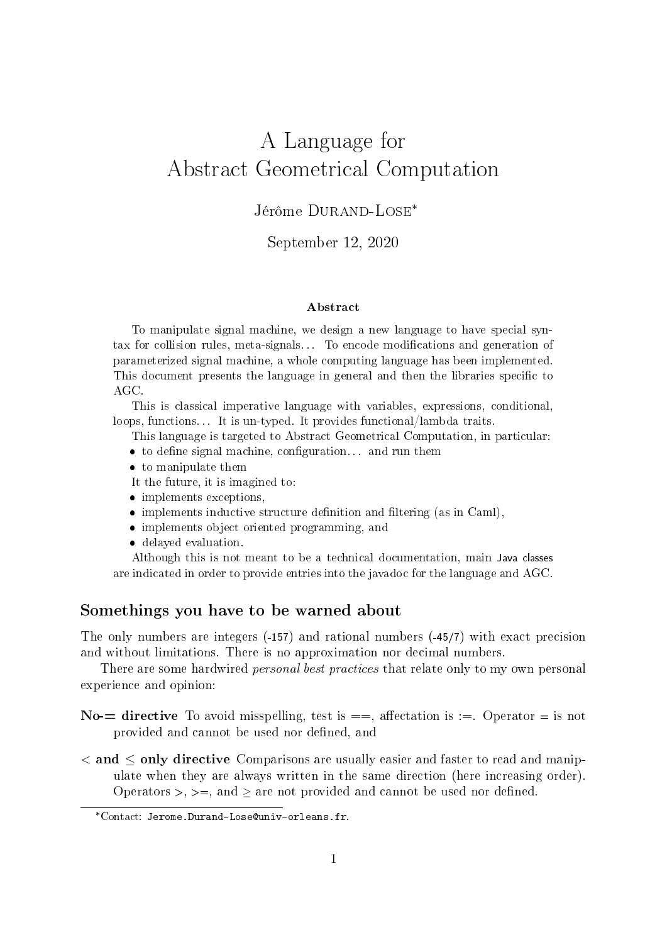# A Language for Abstract Geometrical Computation

### Jérôme DURAND-LOSE<sup>\*</sup>

### September 12, 2020

#### Abstract

To manipulate signal machine, we design a new language to have special syntax for collision rules, meta-signals... To encode modifications and generation of parameterized signal machine, a whole computing language has been implemented. This document presents the language in general and then the libraries specific to AGC.

This is classical imperative language with variables, expressions, conditional, loops, functions. . . It is un-typed. It provides functional/lambda traits.

This language is targeted to Abstract Geometrical Computation, in particular:

- to define signal machine, configuration... and run them
- to manipulate them

It the future, it is imagined to:

- implements exceptions,
- $\bullet$  implements inductive structure definition and filtering (as in Caml),
- implements object oriented programming, and
- delayed evaluation.

Although this is not meant to be a technical documentation, main Java classes are indicated in order to provide entries into the javadoc for the language and AGC.

### Somethings you have to be warned about

The only numbers are integers (-157) and rational numbers (-45/7) with exact precision and without limitations. There is no approximation nor decimal numbers.

There are some hardwired *personal best practices* that relate only to my own personal experience and opinion:

- No- $=$  directive To avoid misspelling, test is  $==$ , affectation is  $==$ . Operator  $=$  is not provided and cannot be used nor defined, and
- $\alpha$  and  $\leq$  only directive Comparisons are usually easier and faster to read and manipulate when they are always written in the same direction (here increasing order). Operators  $>$ ,  $>=$ , and  $>$  are not provided and cannot be used nor defined.

<sup>\*</sup>Contact: Jerome.Durand-Lose@univ-orleans.fr.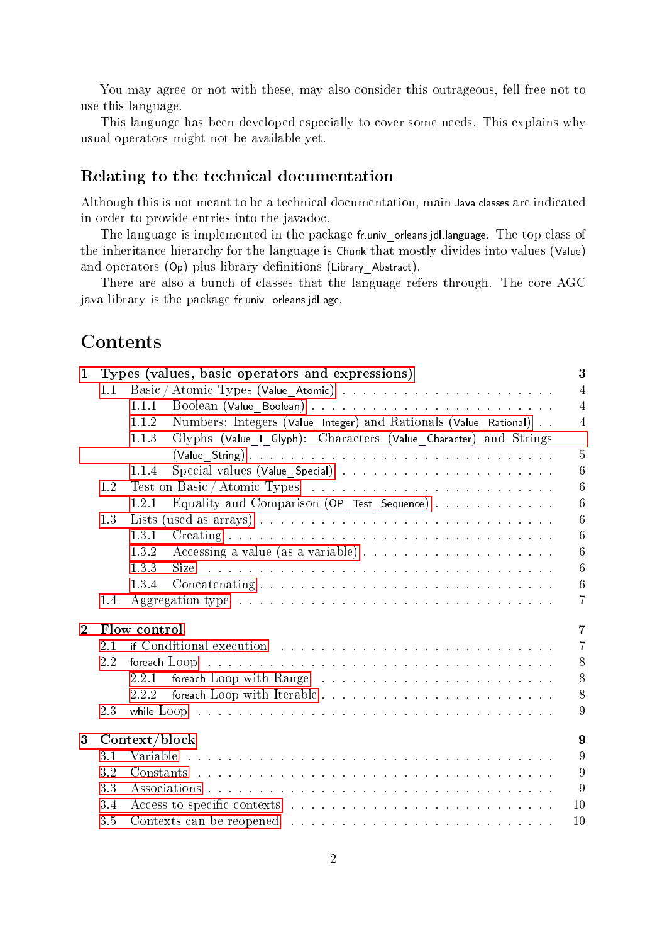You may agree or not with these, may also consider this outrageous, fell free not to use this language.

This language has been developed especially to cover some needs. This explains why usual operators might not be available yet.

### Relating to the technical documentation

Although this is not meant to be a technical documentation, main Java classes are indicated in order to provide entries into the javadoc.

The language is implemented in the package fr.univ\_orleans.jdl.language. The top class of the inheritance hierarchy for the language is Chunk that mostly divides into values (Value) and operators  $(Op)$  plus library definitions (Library Abstract).

There are also a bunch of classes that the language refers through. The core AGC java library is the package fr.univ orleans.jdl.agc.

# Contents

| $\mathbf{1}$   |                                | 3<br>Types (values, basic operators and expressions)                                                                                                          |  |  |  |  |  |  |  |
|----------------|--------------------------------|---------------------------------------------------------------------------------------------------------------------------------------------------------------|--|--|--|--|--|--|--|
|                | 1.1                            | $\overline{4}$                                                                                                                                                |  |  |  |  |  |  |  |
|                |                                | $\overline{4}$<br>1.1.1                                                                                                                                       |  |  |  |  |  |  |  |
|                |                                | Numbers: Integers (Value Integer) and Rationals (Value Rational)<br>$\overline{4}$<br>1.1.2                                                                   |  |  |  |  |  |  |  |
|                |                                | Glyphs (Value_I_Glyph): Characters (Value_Character) and Strings<br>1.1.3                                                                                     |  |  |  |  |  |  |  |
|                |                                | $\overline{5}$<br>$(Value String)$                                                                                                                            |  |  |  |  |  |  |  |
|                |                                | 6<br>1.1.4                                                                                                                                                    |  |  |  |  |  |  |  |
|                | 1.2                            | $\overline{6}$                                                                                                                                                |  |  |  |  |  |  |  |
|                |                                | Equality and Comparison (OP_Test_Sequence) $\ldots \ldots \ldots \ldots$<br>6<br>1.2.1                                                                        |  |  |  |  |  |  |  |
|                | 1.3                            | 6                                                                                                                                                             |  |  |  |  |  |  |  |
|                |                                | $\overline{6}$<br>1.3.1                                                                                                                                       |  |  |  |  |  |  |  |
|                |                                | Accessing a value (as a variable) $\ldots \ldots \ldots \ldots \ldots \ldots$<br>$\overline{6}$<br>1.3.2                                                      |  |  |  |  |  |  |  |
|                |                                | $\overline{6}$<br>and the contract of the contract of the contract of the contract of the contract of the contract of the contract of<br>1.3.3<br><b>Size</b> |  |  |  |  |  |  |  |
|                |                                | $\sqrt{6}$<br>1.3.4                                                                                                                                           |  |  |  |  |  |  |  |
|                | 1.4                            | Aggregation type $\dots \dots \dots \dots \dots \dots \dots \dots \dots \dots \dots \dots \dots$<br>$\overline{7}$                                            |  |  |  |  |  |  |  |
| $\overline{2}$ | $\overline{7}$<br>Flow control |                                                                                                                                                               |  |  |  |  |  |  |  |
|                | 2.1                            | $\overline{7}$                                                                                                                                                |  |  |  |  |  |  |  |
|                | 2.2                            | 8<br>foreach $Loop \ldots \ldots \ldots \ldots \ldots \ldots \ldots \ldots \ldots \ldots \ldots \ldots$                                                       |  |  |  |  |  |  |  |
|                |                                | 8<br>2.2.1                                                                                                                                                    |  |  |  |  |  |  |  |
|                |                                | 8<br>2.2.2                                                                                                                                                    |  |  |  |  |  |  |  |
|                | 2.3                            | 9                                                                                                                                                             |  |  |  |  |  |  |  |
| 3 <sup>1</sup> | Context/block                  |                                                                                                                                                               |  |  |  |  |  |  |  |
|                | 3.1                            | 9                                                                                                                                                             |  |  |  |  |  |  |  |
|                | 3.2                            | 9                                                                                                                                                             |  |  |  |  |  |  |  |
|                | 3.3                            | 9                                                                                                                                                             |  |  |  |  |  |  |  |
|                | 3.4                            | 10                                                                                                                                                            |  |  |  |  |  |  |  |
|                | 3.5                            | 10                                                                                                                                                            |  |  |  |  |  |  |  |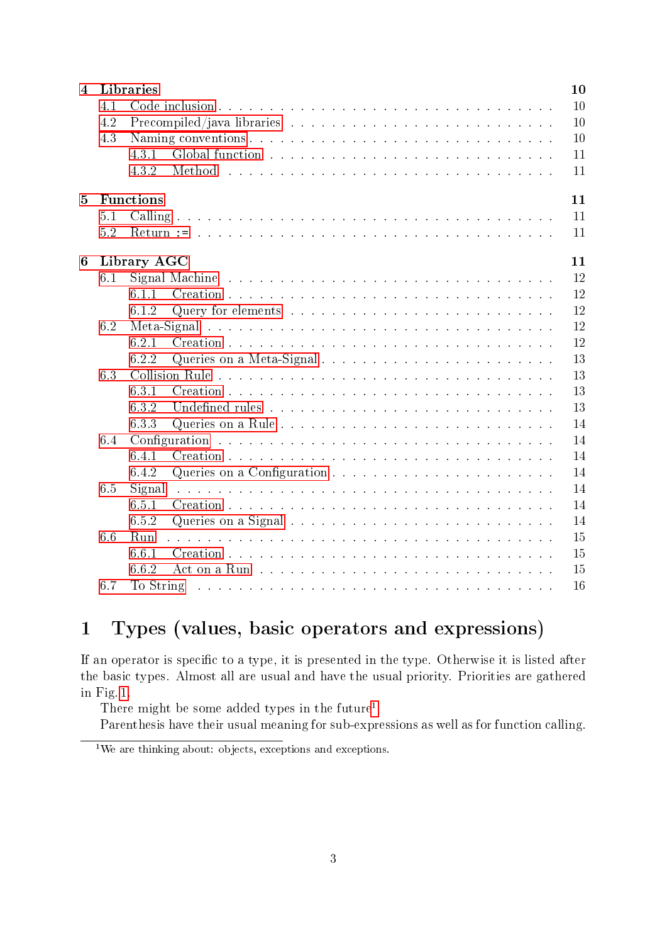| 4              | Libraries<br>10        |        |                                                                                                                 |    |  |  |  |  |  |  |
|----------------|------------------------|--------|-----------------------------------------------------------------------------------------------------------------|----|--|--|--|--|--|--|
|                | 4.1                    |        |                                                                                                                 | 10 |  |  |  |  |  |  |
|                | 4.2                    |        |                                                                                                                 | 10 |  |  |  |  |  |  |
|                | 4.3                    |        |                                                                                                                 | 10 |  |  |  |  |  |  |
|                |                        | 4.3.1  |                                                                                                                 | 11 |  |  |  |  |  |  |
|                |                        | 4.3.2  |                                                                                                                 | 11 |  |  |  |  |  |  |
| $\overline{5}$ | <b>Functions</b><br>11 |        |                                                                                                                 |    |  |  |  |  |  |  |
|                | 5.1                    |        |                                                                                                                 | 11 |  |  |  |  |  |  |
|                | 5.2                    |        |                                                                                                                 | 11 |  |  |  |  |  |  |
| 6              | 11<br>Library AGC      |        |                                                                                                                 |    |  |  |  |  |  |  |
|                | 6.1                    |        |                                                                                                                 | 12 |  |  |  |  |  |  |
|                |                        | 611    |                                                                                                                 | 12 |  |  |  |  |  |  |
|                |                        | 6.1.2  |                                                                                                                 | 12 |  |  |  |  |  |  |
|                | 6.2                    |        |                                                                                                                 | 12 |  |  |  |  |  |  |
|                |                        | 6.2.1  |                                                                                                                 | 12 |  |  |  |  |  |  |
|                |                        | 6.2.2  | Queries on a Meta-Signal                                                                                        | 13 |  |  |  |  |  |  |
|                | 6.3                    |        |                                                                                                                 | 13 |  |  |  |  |  |  |
|                |                        | 6.3.1  |                                                                                                                 | 13 |  |  |  |  |  |  |
|                |                        | 6.3.2  |                                                                                                                 | 13 |  |  |  |  |  |  |
|                |                        | 6.3.3  |                                                                                                                 | 14 |  |  |  |  |  |  |
|                | 6.4                    |        |                                                                                                                 | 14 |  |  |  |  |  |  |
|                |                        | 6.4.1  |                                                                                                                 | 14 |  |  |  |  |  |  |
|                |                        | 6.4.2  |                                                                                                                 | 14 |  |  |  |  |  |  |
|                | 6.5                    | Signal |                                                                                                                 | 14 |  |  |  |  |  |  |
|                |                        | 6.5.1  |                                                                                                                 | 14 |  |  |  |  |  |  |
|                |                        | 6.5.2  |                                                                                                                 | 14 |  |  |  |  |  |  |
|                | 6.6                    | Run    |                                                                                                                 | 15 |  |  |  |  |  |  |
|                |                        | 6.6.1  |                                                                                                                 | 15 |  |  |  |  |  |  |
|                |                        | 6.6.2  |                                                                                                                 | 15 |  |  |  |  |  |  |
|                | 6.7                    |        | To String because the service of the service of the service of the service of the service of the service of the | 16 |  |  |  |  |  |  |

# <span id="page-2-0"></span>1 Types (values, basic operators and expressions)

If an operator is specific to a type, it is presented in the type. Otherwise it is listed after the basic types. Almost all are usual and have the usual priority. Priorities are gathered in Fig. [1.](#page-6-3)

There might be some added types in the future[1](#page-2-1)

Parenthesis have their usual meaning for sub-expressions as well as for function calling.

<span id="page-2-1"></span> $1$ We are thinking about: objects, exceptions and exceptions.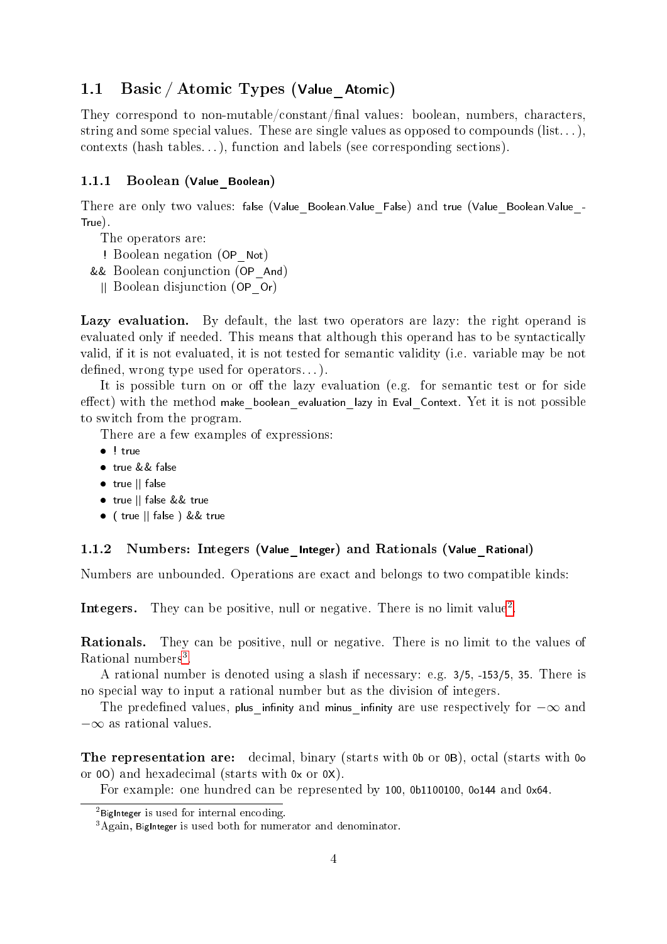### <span id="page-3-0"></span>1.1 Basic / Atomic Types (Value Atomic)

They correspond to non-mutable/constant/final values: boolean, numbers, characters, string and some special values. These are single values as opposed to compounds  $(list...)$ , contexts (hash tables. . . ), function and labels (see corresponding sections).

### <span id="page-3-1"></span>1.1.1 Boolean (Value\_Boolean)

There are only two values: false (Value Boolean.Value False) and true (Value Boolean.Value -True).

- The operators are:
- ! Boolean negation (OP\_Not)
- && Boolean conjunction (OP\_And)
- || Boolean disjunction (OP\_Or)

Lazy evaluation. By default, the last two operators are lazy: the right operand is evaluated only if needed. This means that although this operand has to be syntactically valid, if it is not evaluated, it is not tested for semantic validity (i.e. variable may be not defined, wrong type used for operators...).

It is possible turn on or off the lazy evaluation (e.g. for semantic test or for side  $effect)$  with the method make boolean evaluation lazy in Eval Context. Yet it is not possible to switch from the program.

There are a few examples of expressions:

- $\bullet$  ! true
- true && false
- true || false
- true || false && true
- ( true || false ) && true

#### <span id="page-3-2"></span>1.1.2 Numbers: Integers (Value\_Integer) and Rationals (Value\_Rational)

Numbers are unbounded. Operations are exact and belongs to two compatible kinds:

Integers. They can be positive, null or negative. There is no limit value<sup>[2](#page-3-3)</sup>.

Rationals. They can be positive, null or negative. There is no limit to the values of Rational numbers<sup>[3](#page-3-4)</sup>.

A rational number is denoted using a slash if necessary: e.g. 3/5, -153/5, 35. There is no special way to input a rational number but as the division of integers.

The predefined values, plus infinity and minus infinity are use respectively for  $-\infty$  and −∞ as rational values.

The representation are: decimal, binary (starts with 0b or 0B), octal (starts with 0c or 0O) and hexadecimal (starts with 0x or 0X).

For example: one hundred can be represented by 100, 0b1100100, 0o144 and 0x64.

<span id="page-3-3"></span> $2$ BigInteger is used for internal encoding.

<span id="page-3-4"></span><sup>&</sup>lt;sup>3</sup>Again, BigInteger is used both for numerator and denominator.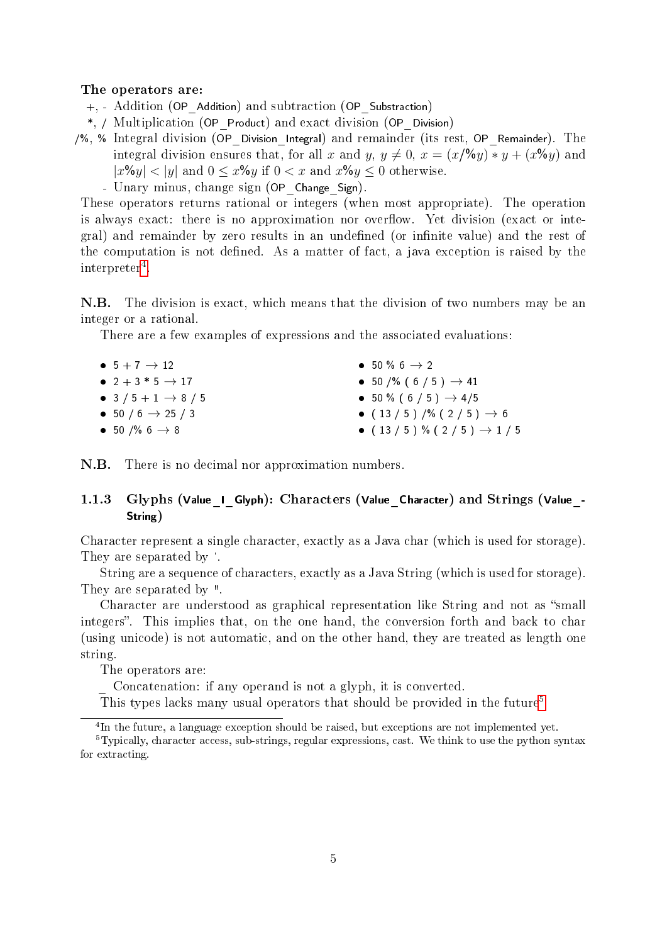#### The operators are:

+, - Addition (OP\_Addition) and subtraction (OP\_Substraction)

\*, / Multiplication (OP\_Product) and exact division (OP\_Division)

/%, % Integral division (OP\_Division\_Integral) and remainder (its rest, OP\_Remainder). The integral division ensures that, for all x and y,  $y \neq 0$ ,  $x = (x/\sqrt{6y}) * y + (x\sqrt{6y})$  and  $|x\%y| < |y|$  and  $0 \leq x\%y$  if  $0 \leq x$  and  $x\%y \leq 0$  otherwise.

- Unary minus, change sign (OP Change Sign).

These operators returns rational or integers (when most appropriate). The operation is always exact: there is no approximation nor overflow. Yet division (exact or integral) and remainder by zero results in an undefined (or infinite value) and the rest of the computation is not dened. As a matter of fact, a java exception is raised by the  $\text{interpreter}^4$  $\text{interpreter}^4$ .

N.B. The division is exact, which means that the division of two numbers may be an integer or a rational.

There are a few examples of expressions and the associated evaluations:

| $\bullet$ 5 + 7 $\rightarrow$ 12       | $\bullet$ 50 % 6 $\rightarrow$ 2       |
|----------------------------------------|----------------------------------------|
| $\bullet$ 2 + 3 $*$ 5 $\rightarrow$ 17 | • 50 /% ( 6 / 5 ) $\rightarrow$ 41     |
| • 3 / 5 + 1 $\rightarrow$ 8 / 5        | • 50 % (6 / 5) $\rightarrow$ 4/5       |
| $\bullet$ 50 / 6 $\rightarrow$ 25 / 3  | • $(13/5)/\%$ $(2/5)$ $\rightarrow$ 6  |
| • 50 /% 6 $\rightarrow$ 8              | • $(13/5)$ % $(2/5)$ $\rightarrow$ 1/5 |

N.B. There is no decimal nor approximation numbers.

### <span id="page-4-0"></span>1.1.3 Glyphs (Value I Glyph): Characters (Value Character) and Strings (Value -String)

Character represent a single character, exactly as a Java char (which is used for storage). They are separated by '.

String are a sequence of characters, exactly as a Java String (which is used for storage). They are separated by ".

Character are understood as graphical representation like String and not as "small integers". This implies that, on the one hand, the conversion forth and back to char (using unicode) is not automatic, and on the other hand, they are treated as length one string.

The operators are:

\_ Concatenation: if any operand is not a glyph, it is converted.

This types lacks many usual operators that should be provided in the future<sup>[5](#page-4-2)</sup>

<span id="page-4-2"></span><span id="page-4-1"></span><sup>4</sup>In the future, a language exception should be raised, but exceptions are not implemented yet.

<sup>5</sup>Typically, character access, sub-strings, regular expressions, cast. We think to use the python syntax for extracting.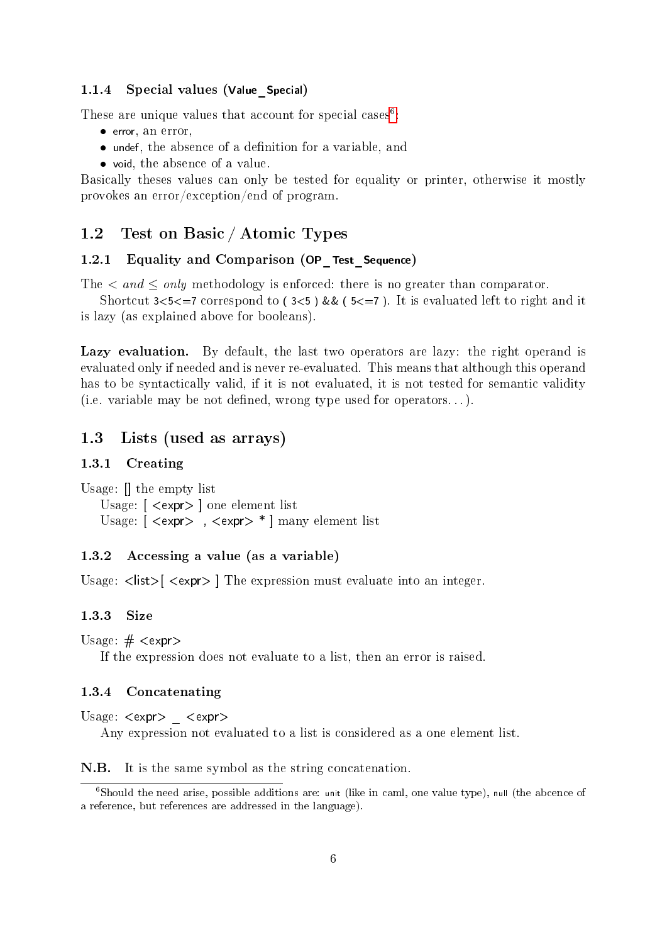#### <span id="page-5-0"></span>1.1.4 Special values (Value Special)

These are unique values that account for special cases<sup>[6](#page-5-8)</sup>:

- error, an error,
- $\bullet$  undef, the absence of a definition for a variable, and
- void, the absence of a value.

Basically theses values can only be tested for equality or printer, otherwise it mostly provokes an error/exception/end of program.

### <span id="page-5-1"></span>1.2 Test on Basic / Atomic Types

### <span id="page-5-2"></span>1.2.1 Equality and Comparison (OP Test Sequence)

The  $\langle$  and  $\leq$  only methodology is enforced: there is no greater than comparator.

Shortcut  $3 < 5 < 7$  correspond to ( $3 < 5$ ) && ( $5 < 7$ ). It is evaluated left to right and it is lazy (as explained above for booleans).

Lazy evaluation. By default, the last two operators are lazy: the right operand is evaluated only if needed and is never re-evaluated. This means that although this operand has to be syntactically valid, if it is not evaluated, it is not tested for semantic validity (i.e. variable may be not defined, wrong type used for operators...).

### <span id="page-5-3"></span>1.3 Lists (used as arrays)

### <span id="page-5-4"></span>1.3.1 Creating

Usage: [] the empty list Usage: [ <expr> ] one element list Usage: [ <expr> , <expr> \* ] many element list

### <span id="page-5-5"></span>1.3.2 Accessing a value (as a variable)

Usage:  $\langle$ list $\rangle$   $\langle$   $\langle$  expr $\rangle$  ] The expression must evaluate into an integer.

#### <span id="page-5-6"></span>1.3.3 Size

Usage:  $\#$  <expr>

If the expression does not evaluate to a list, then an error is raised.

#### <span id="page-5-7"></span>1.3.4 Concatenating

Usage:  $\langle$ expr $\rangle$   $\langle$ expr $\rangle$ 

Any expression not evaluated to a list is considered as a one element list.

N.B. It is the same symbol as the string concatenation.

<span id="page-5-8"></span> $6$ Should the need arise, possible additions are: unit (like in caml, one value type), null (the abcence of a reference, but references are addressed in the language).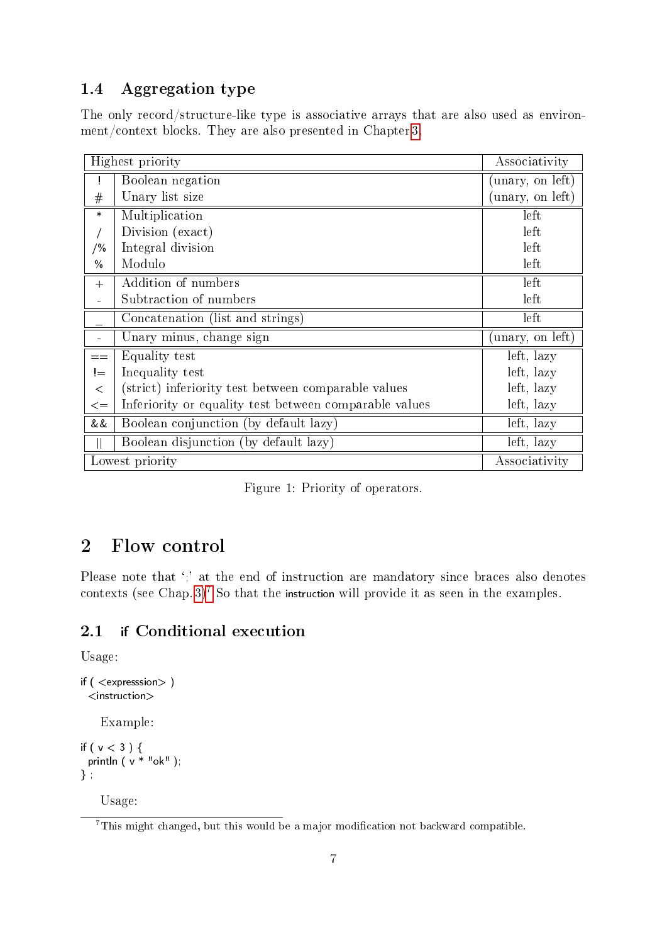# <span id="page-6-0"></span>1.4 Aggregation type

The only record/structure-like type is associative arrays that are also used as environment/context blocks. They are also presented in Chapter [3.](#page-8-1)

| Highest priority | Associativity                                          |                 |
|------------------|--------------------------------------------------------|-----------------|
| Ţ.               | Boolean negation                                       | unary, on left) |
| #                | Unary list size                                        | unary, on left) |
| $\ast$           | Multiplication                                         | left            |
|                  | Division (exact)                                       | left            |
| / %              | Integral division                                      | left            |
| $\frac{0}{0}$    | Modulo                                                 | left            |
| $+$              | Addition of numbers                                    | left            |
|                  | Subtraction of numbers                                 | left            |
|                  | Concatenation (list and strings)                       | left            |
|                  | Unary minus, change sign                               | unary, on left) |
| $=$ $=$          | Equality test                                          | left, lazy      |
| $!=$             | Inequality test                                        | left, lazy      |
| $\lt$            | (strict) inferiority test between comparable values    | left, lazy      |
| $\leq$           | Inferiority or equality test between comparable values | left, lazy      |
| &&               | Boolean conjunction (by default lazy)                  | left, lazy      |
|                  | Boolean disjunction (by default lazy)                  | left, lazy      |
| Lowest priority  | Associativity                                          |                 |

<span id="page-6-3"></span>

|  |  |  |  | Figure 1: Priority of operators. |
|--|--|--|--|----------------------------------|
|--|--|--|--|----------------------------------|

# <span id="page-6-1"></span>2 Flow control

Please note that ';' at the end of instruction are mandatory since braces also denotes contexts (see Chap. [3\)](#page-8-1)<sup>[7](#page-6-4)</sup> So that the instruction will provide it as seen in the examples.

### <span id="page-6-2"></span>2.1 if Conditional execution

Usage:

```
if ( <expresssion> )
 <instruction>
    Example:
if ( v < 3 ) {
  println ( v * "ok" );
```

```
} ;
```
Usage:

<span id="page-6-4"></span><sup>&</sup>lt;sup>7</sup>This might changed, but this would be a major modification not backward compatible.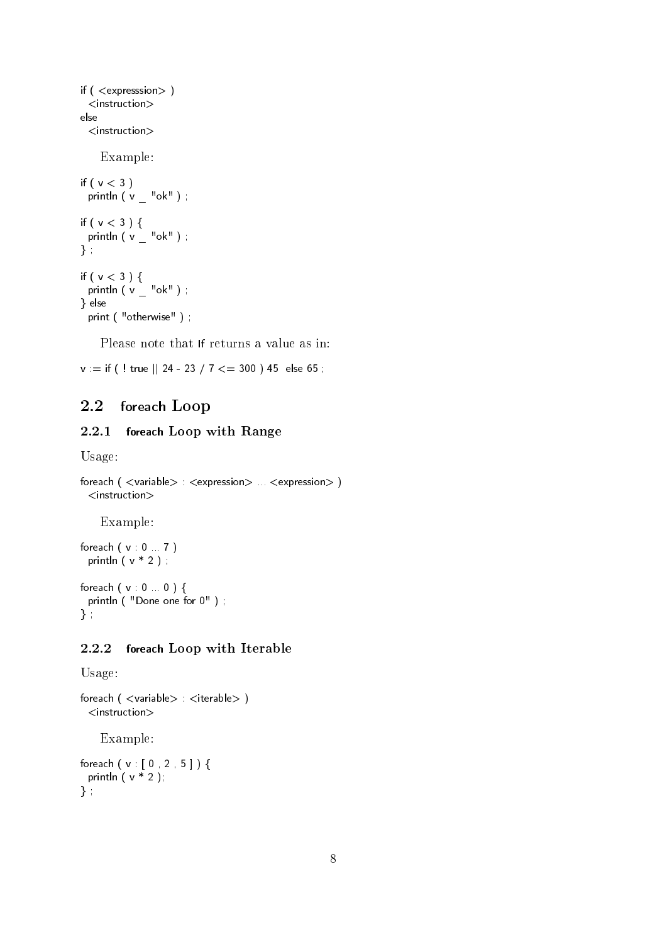```
if ( <expresssion> )
 <instruction>
else
 <instruction>
    Example:
if (v < 3)
 println (v - "ok");
if ( v < 3 ) {
  println ( v _ "ok" ) ;
} ;
if ( v < 3 ) {
  println ( v _ "ok" ) ;
} else
 print ( "otherwise" );
```
Please note that If returns a value as in:

 $v :=$  if ( ! true || 24 - 23 / 7  $\lt =$  300 ) 45 else 65;

### <span id="page-7-0"></span>2.2 foreach Loop

### <span id="page-7-1"></span>2.2.1 foreach Loop with Range

Usage:

```
foreach ( <variable> : <expression> ... <expression> )
 <instruction>
```
Example:

foreach ( v : 0 ... 7 ) println ( $v * 2$ );

foreach ( v : 0 ... 0 ) { println ( "Done one for 0" ) ; } ;

### <span id="page-7-2"></span>2.2.2 foreach Loop with Iterable

Usage:

```
foreach ( \langle variable > : \langle iterable > )
  <instruction>
    Example:
foreach ( v : [ 0 , 2 , 5 ] ) {
 println ( v * 2 );
```
} ;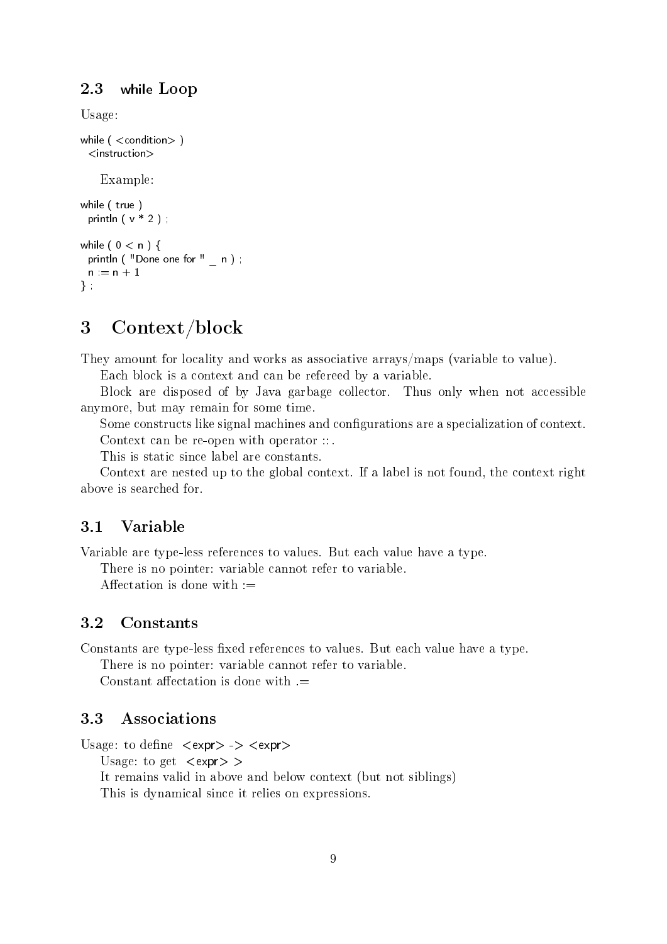### <span id="page-8-0"></span>2.3 while Loop

Usage:

```
while ( < condition > )
 <instruction>
    Example:
while ( true )
 println (v * 2);
while (0 < n) {
 println ( "Done one for " _ n ) ;
 n := n + 1} ;
```
# <span id="page-8-1"></span>3 Context/block

They amount for locality and works as associative arrays/maps (variable to value).

Each block is a context and can be refereed by a variable.

Block are disposed of by Java garbage collector. Thus only when not accessible anymore, but may remain for some time.

Some constructs like signal machines and configurations are a specialization of context. Context can be re-open with operator ::.

This is static since label are constants.

Context are nested up to the global context. If a label is not found, the context right above is searched for.

### <span id="page-8-2"></span>3.1 Variable

Variable are type-less references to values. But each value have a type.

There is no pointer: variable cannot refer to variable.

Affectation is done with  $:=$ 

### <span id="page-8-3"></span>3.2 Constants

Constants are type-less fixed references to values. But each value have a type.

There is no pointer: variable cannot refer to variable.

Constant affectation is done with  $=$ 

### <span id="page-8-4"></span>3.3 Associations

Usage: to define  $\langle \text{expr} \rangle \rightarrow \langle \text{expr} \rangle$ 

Usage: to get  $\langle$ expr $\rangle$  >

It remains valid in above and below context (but not siblings) This is dynamical since it relies on expressions.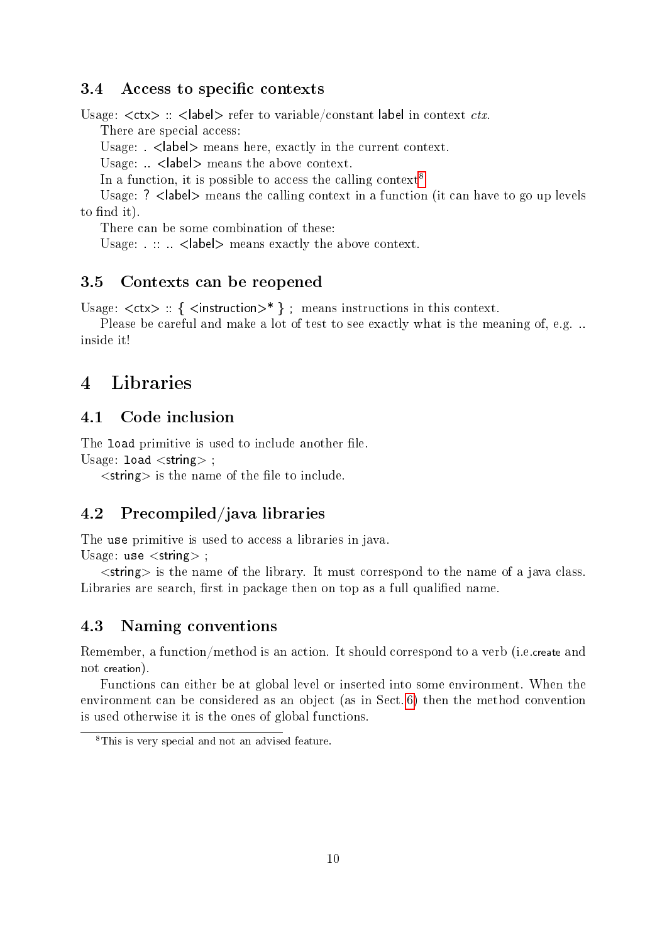### <span id="page-9-0"></span>3.4 Access to specific contexts

Usage:  $\langle$ ctx $\rangle$ :  $\langle$ label $\rangle$  refer to variable/constant label in context *ctx*.

There are special access:

Usage: < | < | < | < | exactly in the current context.

Usage:  $\langle$  < | < | < |  $\langle$  |  $\rangle$  means the above context.

In a function, it is possible to access the calling context<sup>[8](#page-9-6)</sup>

Usage: ?  $\langle$  abel> means the calling context in a function (it can have to go up levels to find it).

There can be some combination of these:

Usage:  $\therefore$   $\leq$  |  $\leq$  |  $\leq$  |  $\leq$  |  $\leq$  |  $\leq$  |  $\leq$  |  $\leq$  |  $\leq$  |  $\leq$  |  $\leq$  |  $\leq$  |  $\leq$  |  $\leq$  |  $\leq$  |  $\leq$  |  $\leq$  |  $\leq$  |  $\leq$  |  $\leq$  |  $\leq$  |  $\leq$  |  $\leq$  |  $\leq$  |  $\leq$  |  $\leq$  |

### <span id="page-9-1"></span>3.5 Contexts can be reopened

Usage:  $\langle$ ctx> :: {  $\langle$  instruction>\* }; means instructions in this context.

Please be careful and make a lot of test to see exactly what is the meaning of, e.g. .. inside it!

# <span id="page-9-2"></span>4 Libraries

### <span id="page-9-3"></span>4.1 Code inclusion

The load primitive is used to include another file. Usage:  $load <$ string $>$ ;

 $\langle$ string $\rangle$  is the name of the file to include.

### <span id="page-9-4"></span>4.2 Precompiled/java libraries

The use primitive is used to access a libraries in java.

Usage: use  $\lt$ string $>$ ;

 $\le$ string  $\ge$  is the name of the library. It must correspond to the name of a java class. Libraries are search, first in package then on top as a full qualified name.

### <span id="page-9-5"></span>4.3 Naming conventions

Remember, a function/method is an action. It should correspond to a verb (i.e.create and not creation).

Functions can either be at global level or inserted into some environment. When the environment can be considered as an object (as in Sect. [6\)](#page-10-5) then the method convention is used otherwise it is the ones of global functions.

<span id="page-9-6"></span><sup>8</sup>This is very special and not an advised feature.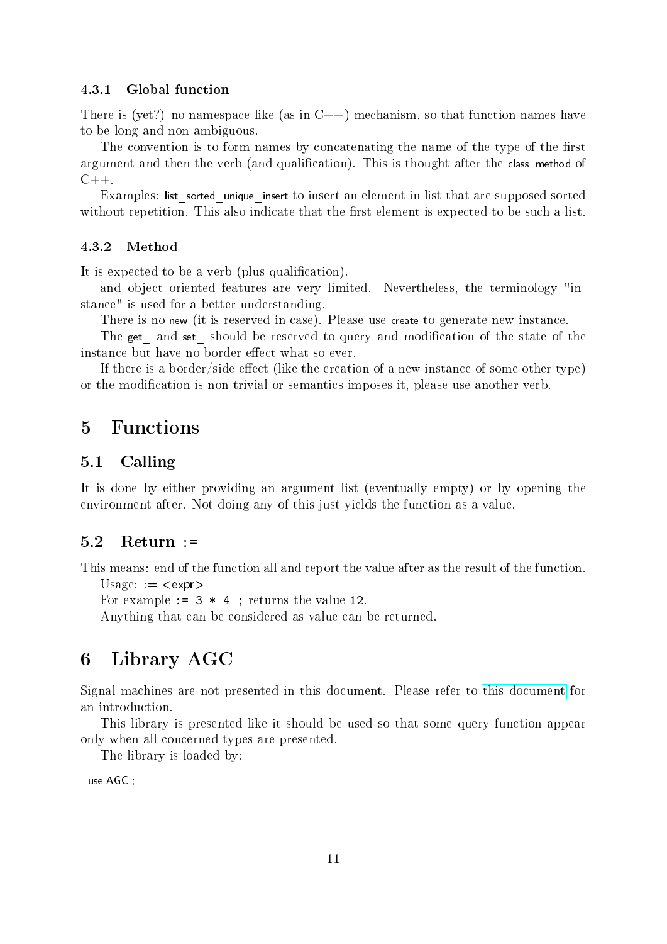#### <span id="page-10-0"></span>4.3.1 Global function

There is (yet?) no namespace-like (as in  $C_{++}$ ) mechanism, so that function names have to be long and non ambiguous.

The convention is to form names by concatenating the name of the type of the first argument and then the verb (and qualification). This is thought after the class: method of  $C_{++}$ .

Examples: list sorted unique insert to insert an element in list that are supposed sorted without repetition. This also indicate that the first element is expected to be such a list.

#### <span id="page-10-1"></span>4.3.2 Method

It is expected to be a verb (plus qualification).

and object oriented features are very limited. Nevertheless, the terminology "instance" is used for a better understanding.

There is no new (it is reserved in case). Please use create to generate new instance.

The get and set should be reserved to query and modification of the state of the instance but have no border effect what-so-ever.

If there is a border/side effect (like the creation of a new instance of some other type) or the modification is non-trivial or semantics imposes it, please use another verb.

# <span id="page-10-2"></span>5 Functions

### <span id="page-10-3"></span>5.1 Calling

It is done by either providing an argument list (eventually empty) or by opening the environment after. Not doing any of this just yields the function as a value.

### <span id="page-10-4"></span>5.2 Return :=

This means: end of the function all and report the value after as the result of the function.  $Usage: =$ 

For example  $:= 3 * 4$ ; returns the value 12.

Anything that can be considered as value can be returned.

## <span id="page-10-5"></span>6 Library AGC

Signal machines are not presented in this document. Please refer to [this document](http://www.univ-orleans.fr/lifo/Members/Jerome.Durand-Lose/Recherche/AGC/intro_AGC.html) for an introduction.

This library is presented like it should be used so that some query function appear only when all concerned types are presented.

The library is loaded by:

use AGC ;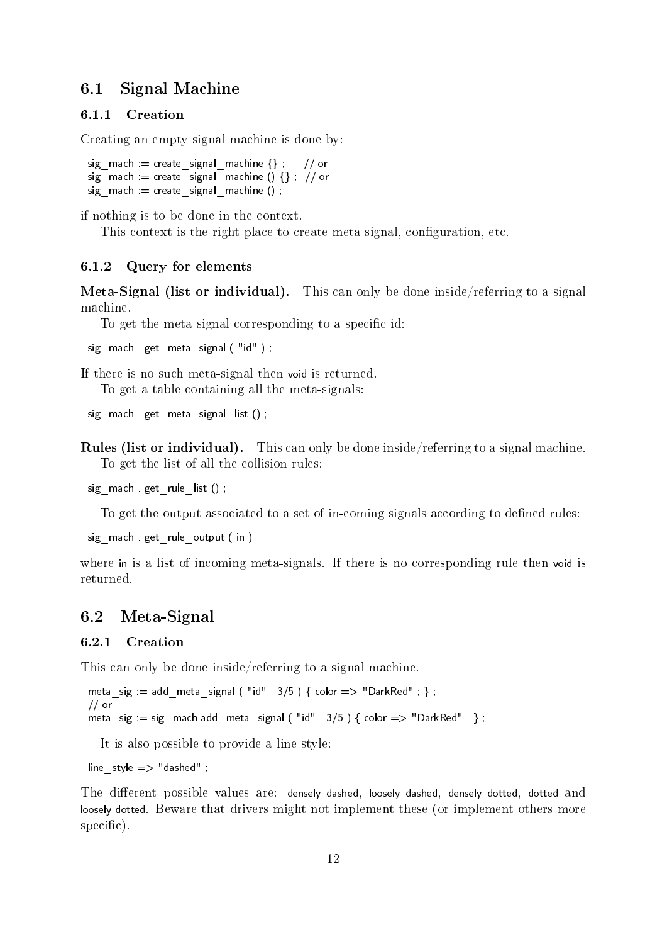### <span id="page-11-0"></span>6.1 Signal Machine

#### <span id="page-11-1"></span>6.1.1 Creation

Creating an empty signal machine is done by:

```
sig\_mach := create\_signal\_machine \{\}; // or
sig\_mach := create\_signal\_machine() \{\}; // or
sig mach = create signal machine ();
```
if nothing is to be done in the context.

This context is the right place to create meta-signal, configuration, etc.

#### <span id="page-11-2"></span>6.1.2 Query for elements

Meta-Signal (list or individual). This can only be done inside/referring to a signal machine.

To get the meta-signal corresponding to a specific id:

sig\_mach . get\_meta\_signal ( "id" ) ;

If there is no such meta-signal then void is returned.

To get a table containing all the meta-signals:

```
sig_mach . get_meta_signal_list () ;
```
Rules (list or individual). This can only be done inside/referring to a signal machine. To get the list of all the collision rules:

sig\_mach . get\_rule\_list () ;

To get the output associated to a set of in-coming signals according to defined rules:

```
sig mach . get rule output ( in ) ;
```
where in is a list of incoming meta-signals. If there is no corresponding rule then void is returned.

### <span id="page-11-3"></span>6.2 Meta-Signal

### <span id="page-11-4"></span>6.2.1 Creation

This can only be done inside/referring to a signal machine.

```
meta_sig := add_meta_signal ( "id", 3/5 ) { color => "DarkRed"; };
// or
meta_sig := sig_mach.add_meta_signal ( "id", 3/5 ) { color => "DarkRed" ; } ;
```
It is also possible to provide a line style:

line  $style \Rightarrow$  "dashed" ;

The different possible values are: densely dashed, loosely dashed, densely dotted, dotted and loosely dotted. Beware that drivers might not implement these (or implement others more specific).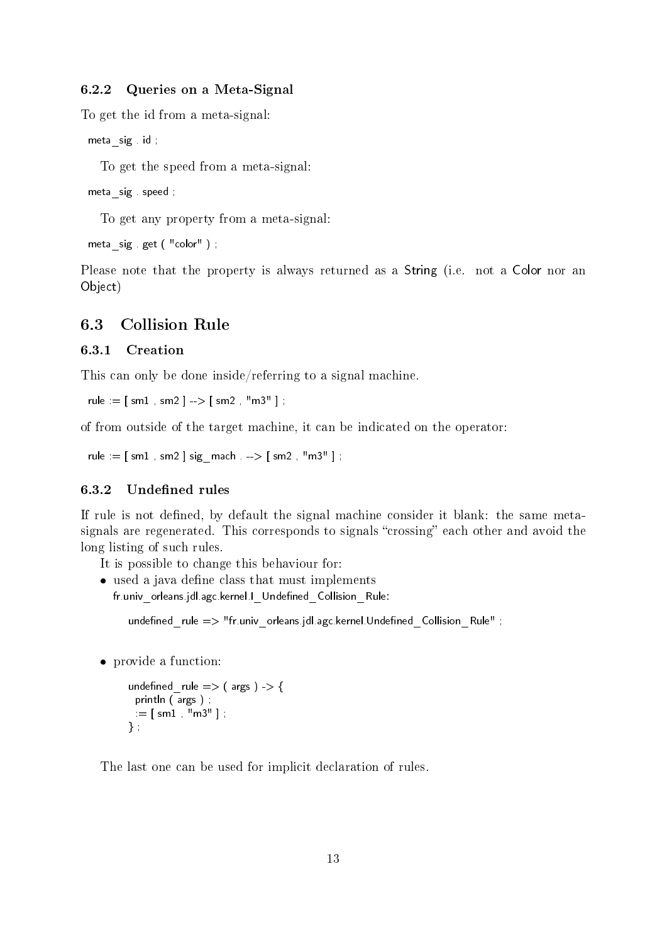### <span id="page-12-0"></span>6.2.2 Queries on a Meta-Signal

To get the id from a meta-signal:

meta\_sig . id ;

To get the speed from a meta-signal:

```
meta sig speed ;
```
To get any property from a meta-signal:

```
meta sig get ( "color" ) ;
```
Please note that the property is always returned as a String (i.e. not a Color nor an Object)

### <span id="page-12-1"></span>6.3 Collision Rule

### <span id="page-12-2"></span>6.3.1 Creation

This can only be done inside/referring to a signal machine.

rule :=  $\lceil sm1, sm2 \rceil$  -->  $\lceil sm2, "m3" \rceil$ ;

of from outside of the target machine, it can be indicated on the operator:

```
rule := [ sm1 , sm2 ] sign\_mach . -> [ sm2 , "m3" ] ;
```
### <span id="page-12-3"></span>6.3.2 Undefined rules

If rule is not defined, by default the signal machine consider it blank: the same metasignals are regenerated. This corresponds to signals "crossing" each other and avoid the long listing of such rules.

- It is possible to change this behaviour for:
- $\bullet$  used a java define class that must implements fr.univ\_orleans.jdl.agc.kernel.I\_Undefined Collision\_Rule:

undefined rule  $\Rightarrow$  "fr.univ orleans.jdl.agc.kernel.Undefined Collision Rule" ;

provide a function:

```
undefined _ rule \Rightarrow ( args ) -> {
  println ( args ) ;
 \mathbf{r} = [ \; \mathsf{sm1} \; , \; \mathsf{mms} \; ] ;
} ;
```
The last one can be used for implicit declaration of rules.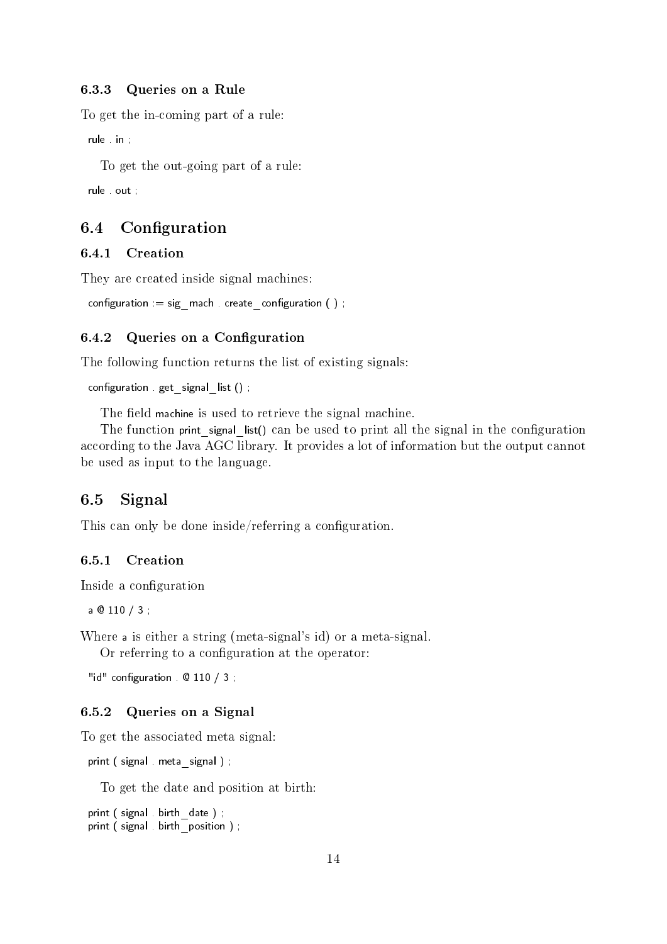### <span id="page-13-0"></span>6.3.3 Queries on a Rule

To get the in-coming part of a rule:

rule in ;

To get the out-going part of a rule:

rule . out ;

### <span id="page-13-1"></span>6.4 Configuration

### <span id="page-13-2"></span>6.4.1 Creation

They are created inside signal machines:

```
configuration := sig_mach . create_configuration ( ) ;
```
### <span id="page-13-3"></span>6.4.2 Queries on a Configuration

The following function returns the list of existing signals:

```
configuration . get signal list () ;
```
The field machine is used to retrieve the signal machine.

The function print signal list() can be used to print all the signal in the configuration according to the Java AGC library. It provides a lot of information but the output cannot be used as input to the language.

### <span id="page-13-4"></span>6.5 Signal

This can only be done inside/referring a configuration.

#### <span id="page-13-5"></span>6.5.1 Creation

Inside a configuration

a @ 110 / 3 ;

Where a is either a string (meta-signal's id) or a meta-signal.

Or referring to a configuration at the operator:

"id" configuration  $\theta$  110 / 3;

### <span id="page-13-6"></span>6.5.2 Queries on a Signal

To get the associated meta signal:

```
print ( signal . meta  signal ) ;
```
To get the date and position at birth:

```
print ( signal . birth date ) ;
print ( signal . birth  position ) ;
```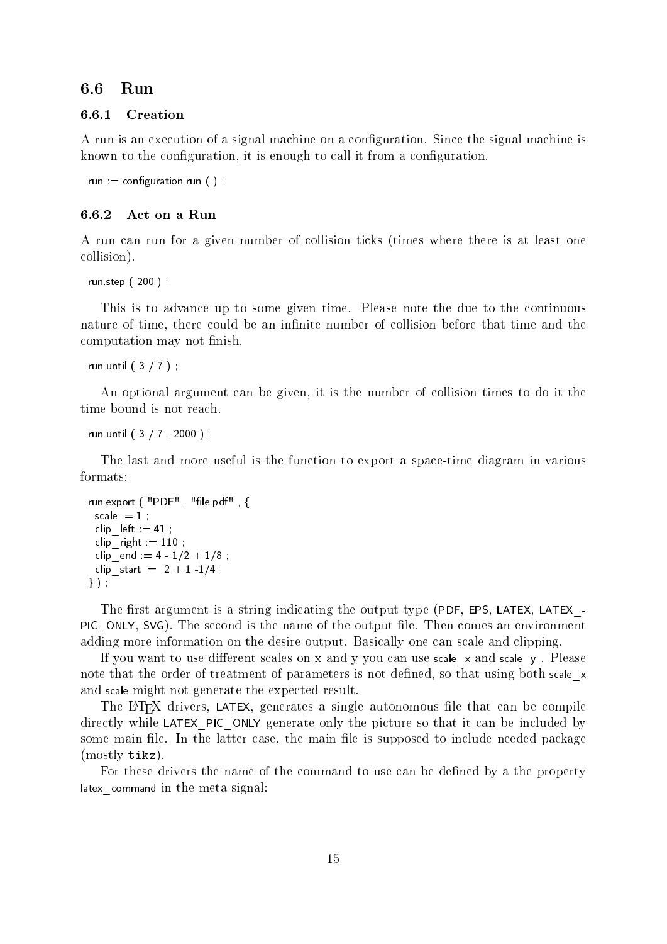### <span id="page-14-0"></span>6.6 Run

#### <span id="page-14-1"></span>6.6.1 Creation

A run is an execution of a signal machine on a configuration. Since the signal machine is known to the configuration, it is enough to call it from a configuration.

```
run := configuration.run ( );
```
### <span id="page-14-2"></span>6.6.2 Act on a Run

A run can run for a given number of collision ticks (times where there is at least one collision).

run.step ( 200 ) ;

This is to advance up to some given time. Please note the due to the continuous nature of time, there could be an infinite number of collision before that time and the computation may not finish.

```
run.until ( 3 / 7 ) ;
```
An optional argument can be given, it is the number of collision times to do it the time bound is not reach.

run.until ( 3 / 7 , 2000 ) ;

The last and more useful is the function to export a space-time diagram in various formats:

```
run.export ( "PDF", "file.pdf", {
 scale := 1;
 clip left = 41 ;
 clip\_right := 110;
 clip end = 4 - 1/2 + 1/8;
 clip start = 2 + 1 -1/4;
} ) ;
```
The first argument is a string indicating the output type (PDF, EPS, LATEX, LATEX -PIC ONLY, SVG). The second is the name of the output file. Then comes an environment adding more information on the desire output. Basically one can scale and clipping.

If you want to use different scales on x and y you can use scale x and scale y. Please note that the order of treatment of parameters is not defined, so that using both scale x and scale might not generate the expected result.

The LAT<sub>EX</sub> drivers, LATEX, generates a single autonomous file that can be compile directly while LATEX PIC ONLY generate only the picture so that it can be included by some main file. In the latter case, the main file is supposed to include needed package (mostly tikz).

For these drivers the name of the command to use can be defined by a the property latex command in the meta-signal: